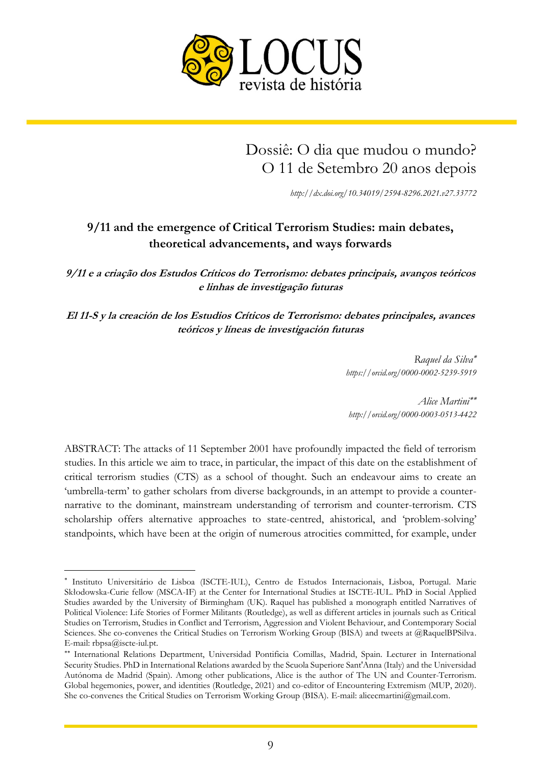

# Dossiê: O dia que mudou o mundo? O 11 de Setembro 20 anos depois

*<http://dx.doi.org/10.34019/2594-8296.2021.v27.33772>*

# **9/11 and the emergence of Critical Terrorism Studies: main debates, theoretical advancements, and ways forwards**

**9/11 e a criação dos Estudos Críticos do Terrorismo: debates principais, avanços teóricos e linhas de investigação futuras**

**El 11-S y la creación de los Estudios Críticos de Terrorismo: debates principales, avances teóricos y líneas de investigación futuras**

> *Raquel da Silva <https://orcid.org/0000-0002-5239-5919>*

*Alice Martini <http://orcid.org/0000-0003-0513-4422>*

ABSTRACT: The attacks of 11 September 2001 have profoundly impacted the field of terrorism studies. In this article we aim to trace, in particular, the impact of this date on the establishment of critical terrorism studies (CTS) as a school of thought. Such an endeavour aims to create an 'umbrella-term' to gather scholars from diverse backgrounds, in an attempt to provide a counternarrative to the dominant, mainstream understanding of terrorism and counter-terrorism. CTS scholarship offers alternative approaches to state-centred, ahistorical, and 'problem-solving' standpoints, which have been at the origin of numerous atrocities committed, for example, under

 $\overline{\phantom{a}}$ 

Instituto Universitário de Lisboa (ISCTE-IUL), Centro de Estudos Internacionais, Lisboa, Portugal. Marie Skłodowska-Curie fellow (MSCA-IF) at the Center for International Studies at ISCTE-IUL. PhD in Social Applied Studies awarded by the University of Birmingham (UK). Raquel has published a monograph entitled Narratives of Political Violence: Life Stories of Former Militants (Routledge), as well as different articles in journals such as Critical Studies on Terrorism, Studies in Conflict and Terrorism, Aggression and Violent Behaviour, and Contemporary Social Sciences. She co-convenes the Critical Studies on Terrorism Working Group (BISA) and tweets at @RaquelBPSilva. E-mail: rbpsa@iscte-iul.pt.

International Relations Department, Universidad Pontificia Comillas, Madrid, Spain. Lecturer in International Security Studies. PhD in International Relations awarded by the Scuola Superiore Sant'Anna (Italy) and the Universidad Autónoma de Madrid (Spain). Among other publications, Alice is the author of The UN and Counter-Terrorism. Global hegemonies, power, and identities (Routledge, 2021) and co-editor of Encountering Extremism (MUP, 2020). She co-convenes the Critical Studies on Terrorism Working Group (BISA). E-mail: alicecmartini@gmail.com.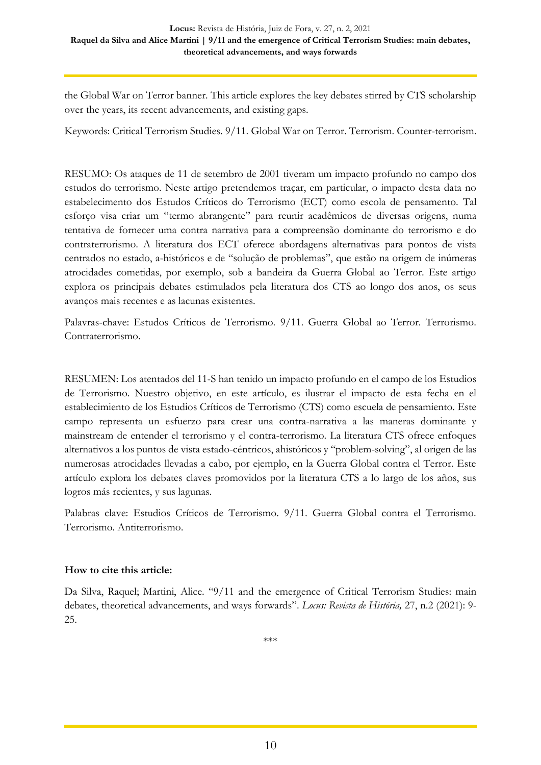the Global War on Terror banner. This article explores the key debates stirred by CTS scholarship over the years, its recent advancements, and existing gaps.

Keywords: Critical Terrorism Studies. 9/11. Global War on Terror. Terrorism. Counter-terrorism.

RESUMO: Os ataques de 11 de setembro de 2001 tiveram um impacto profundo no campo dos estudos do terrorismo. Neste artigo pretendemos traçar, em particular, o impacto desta data no estabelecimento dos Estudos Críticos do Terrorismo (ECT) como escola de pensamento. Tal esforço visa criar um "termo abrangente" para reunir acadêmicos de diversas origens, numa tentativa de fornecer uma contra narrativa para a compreensão dominante do terrorismo e do contraterrorismo. A literatura dos ECT oferece abordagens alternativas para pontos de vista centrados no estado, a-históricos e de "solução de problemas", que estão na origem de inúmeras atrocidades cometidas, por exemplo, sob a bandeira da Guerra Global ao Terror. Este artigo explora os principais debates estimulados pela literatura dos CTS ao longo dos anos, os seus avanços mais recentes e as lacunas existentes.

Palavras-chave: Estudos Críticos de Terrorismo. 9/11. Guerra Global ao Terror. Terrorismo. Contraterrorismo.

RESUMEN: Los atentados del 11-S han tenido un impacto profundo en el campo de los Estudios de Terrorismo. Nuestro objetivo, en este artículo, es ilustrar el impacto de esta fecha en el establecimiento de los Estudios Críticos de Terrorismo (CTS) como escuela de pensamiento. Este campo representa un esfuerzo para crear una contra-narrativa a las maneras dominante y mainstream de entender el terrorismo y el contra-terrorismo. La literatura CTS ofrece enfoques alternativos a los puntos de vista estado-céntricos, ahistóricos y "problem-solving", al origen de las numerosas atrocidades llevadas a cabo, por ejemplo, en la Guerra Global contra el Terror. Este artículo explora los debates claves promovidos por la literatura CTS a lo largo de los años, sus logros más recientes, y sus lagunas.

Palabras clave: Estudios Críticos de Terrorismo. 9/11. Guerra Global contra el Terrorismo. Terrorismo. Antiterrorismo.

#### **How to cite this article:**

Da Silva, Raquel; Martini, Alice. "9/11 and the emergence of Critical Terrorism Studies: main debates, theoretical advancements, and ways forwards". *Locus: Revista de História,* 27, n.2 (2021): 9- 25.

\*\*\*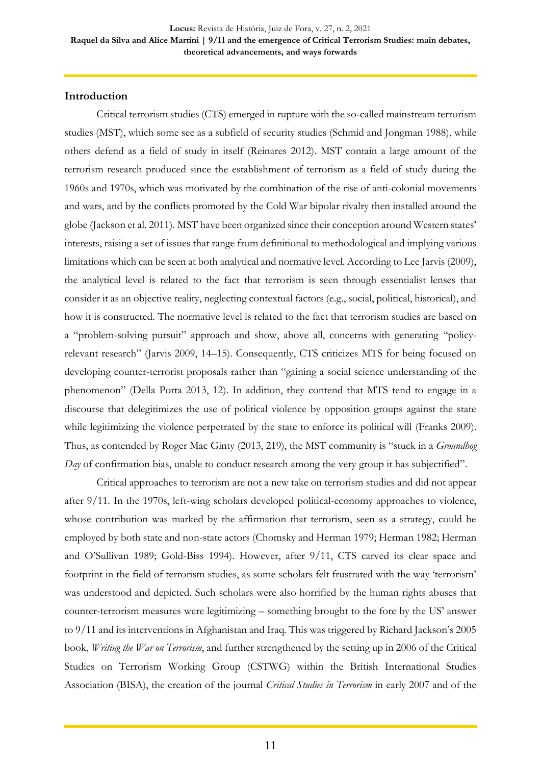#### **Introduction**

Critical terrorism studies (CTS) emerged in rupture with the so-called mainstream terrorism studies (MST), which some see as a subfield of security studies (Schmid and Jongman 1988), while others defend as a field of study in itself (Reinares 2012). MST contain a large amount of the terrorism research produced since the establishment of terrorism as a field of study during the 1960s and 1970s, which was motivated by the combination of the rise of anti-colonial movements and wars, and by the conflicts promoted by the Cold War bipolar rivalry then installed around the globe (Jackson et al. 2011). MST have been organized since their conception around Western states' interests, raising a set of issues that range from definitional to methodological and implying various limitations which can be seen at both analytical and normative level. According to Lee Jarvis (2009), the analytical level is related to the fact that terrorism is seen through essentialist lenses that consider it as an objective reality, neglecting contextual factors (e.g., social, political, historical), and how it is constructed. The normative level is related to the fact that terrorism studies are based on a "problem-solving pursuit" approach and show, above all, concerns with generating "policyrelevant research" (Jarvis 2009, 14–15). Consequently, CTS criticizes MTS for being focused on developing counter-terrorist proposals rather than "gaining a social science understanding of the phenomenon" (Della Porta 2013, 12). In addition, they contend that MTS tend to engage in a discourse that delegitimizes the use of political violence by opposition groups against the state while legitimizing the violence perpetrated by the state to enforce its political will (Franks 2009). Thus, as contended by Roger Mac Ginty (2013, 219), the MST community is "stuck in a *Groundhog Day* of confirmation bias, unable to conduct research among the very group it has subjectified".

Critical approaches to terrorism are not a new take on terrorism studies and did not appear after 9/11. In the 1970s, left-wing scholars developed political-economy approaches to violence, whose contribution was marked by the affirmation that terrorism, seen as a strategy, could be employed by both state and non-state actors (Chomsky and Herman 1979; Herman 1982; Herman and O'Sullivan 1989; Gold-Biss 1994). However, after 9/11, CTS carved its clear space and footprint in the field of terrorism studies, as some scholars felt frustrated with the way 'terrorism' was understood and depicted. Such scholars were also horrified by the human rights abuses that counter-terrorism measures were legitimizing – something brought to the fore by the US' answer to 9/11 and its interventions in Afghanistan and Iraq. This was triggered by Richard Jackson's 2005 book, *Writing the War on Terrorism*, and further strengthened by the setting up in 2006 of the Critical Studies on Terrorism Working Group (CSTWG) within the British International Studies Association (BISA), the creation of the journal *Critical Studies in Terrorism* in early 2007 and of the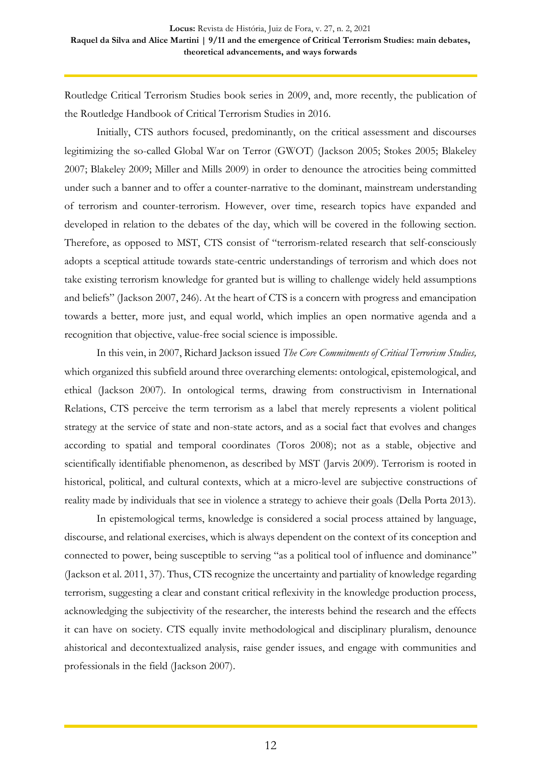Routledge Critical Terrorism Studies book series in 2009, and, more recently, the publication of the Routledge Handbook of Critical Terrorism Studies in 2016.

Initially, CTS authors focused, predominantly, on the critical assessment and discourses legitimizing the so-called Global War on Terror (GWOT) (Jackson 2005; Stokes 2005; Blakeley 2007; Blakeley 2009; Miller and Mills 2009) in order to denounce the atrocities being committed under such a banner and to offer a counter-narrative to the dominant, mainstream understanding of terrorism and counter-terrorism. However, over time, research topics have expanded and developed in relation to the debates of the day, which will be covered in the following section. Therefore, as opposed to MST, CTS consist of "terrorism-related research that self-consciously adopts a sceptical attitude towards state-centric understandings of terrorism and which does not take existing terrorism knowledge for granted but is willing to challenge widely held assumptions and beliefs" (Jackson 2007, 246). At the heart of CTS is a concern with progress and emancipation towards a better, more just, and equal world, which implies an open normative agenda and a recognition that objective, value-free social science is impossible.

In this vein, in 2007, Richard Jackson issued *The Core Commitments of Critical Terrorism Studies,*  which organized this subfield around three overarching elements: ontological, epistemological, and ethical (Jackson 2007). In ontological terms, drawing from constructivism in International Relations, CTS perceive the term terrorism as a label that merely represents a violent political strategy at the service of state and non-state actors, and as a social fact that evolves and changes according to spatial and temporal coordinates (Toros 2008); not as a stable, objective and scientifically identifiable phenomenon, as described by MST (Jarvis 2009). Terrorism is rooted in historical, political, and cultural contexts, which at a micro-level are subjective constructions of reality made by individuals that see in violence a strategy to achieve their goals (Della Porta 2013).

In epistemological terms, knowledge is considered a social process attained by language, discourse, and relational exercises, which is always dependent on the context of its conception and connected to power, being susceptible to serving "as a political tool of influence and dominance" (Jackson et al. 2011, 37). Thus, CTS recognize the uncertainty and partiality of knowledge regarding terrorism, suggesting a clear and constant critical reflexivity in the knowledge production process, acknowledging the subjectivity of the researcher, the interests behind the research and the effects it can have on society. CTS equally invite methodological and disciplinary pluralism, denounce ahistorical and decontextualized analysis, raise gender issues, and engage with communities and professionals in the field (Jackson 2007).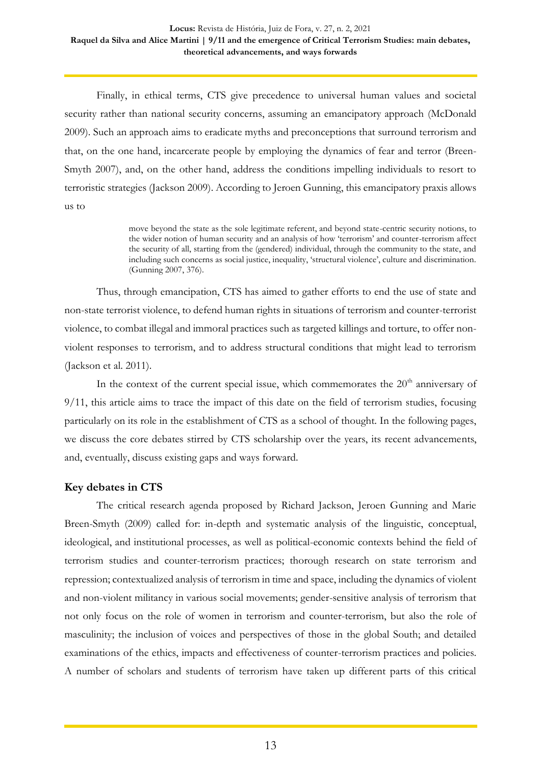Finally, in ethical terms, CTS give precedence to universal human values and societal security rather than national security concerns, assuming an emancipatory approach (McDonald 2009). Such an approach aims to eradicate myths and preconceptions that surround terrorism and that, on the one hand, incarcerate people by employing the dynamics of fear and terror (Breen-Smyth 2007), and, on the other hand, address the conditions impelling individuals to resort to terroristic strategies (Jackson 2009). According to Jeroen Gunning, this emancipatory praxis allows us to

> move beyond the state as the sole legitimate referent, and beyond state-centric security notions, to the wider notion of human security and an analysis of how 'terrorism' and counter-terrorism affect the security of all, starting from the (gendered) individual, through the community to the state, and including such concerns as social justice, inequality, 'structural violence', culture and discrimination. (Gunning 2007, 376).

Thus, through emancipation, CTS has aimed to gather efforts to end the use of state and non-state terrorist violence, to defend human rights in situations of terrorism and counter-terrorist violence, to combat illegal and immoral practices such as targeted killings and torture, to offer nonviolent responses to terrorism, and to address structural conditions that might lead to terrorism (Jackson et al. 2011).

In the context of the current special issue, which commemorates the  $20<sup>th</sup>$  anniversary of 9/11, this article aims to trace the impact of this date on the field of terrorism studies, focusing particularly on its role in the establishment of CTS as a school of thought. In the following pages, we discuss the core debates stirred by CTS scholarship over the years, its recent advancements, and, eventually, discuss existing gaps and ways forward.

#### **Key debates in CTS**

The critical research agenda proposed by Richard Jackson, Jeroen Gunning and Marie Breen-Smyth (2009) called for: in-depth and systematic analysis of the linguistic, conceptual, ideological, and institutional processes, as well as political-economic contexts behind the field of terrorism studies and counter-terrorism practices; thorough research on state terrorism and repression; contextualized analysis of terrorism in time and space, including the dynamics of violent and non-violent militancy in various social movements; gender-sensitive analysis of terrorism that not only focus on the role of women in terrorism and counter-terrorism, but also the role of masculinity; the inclusion of voices and perspectives of those in the global South; and detailed examinations of the ethics, impacts and effectiveness of counter-terrorism practices and policies. A number of scholars and students of terrorism have taken up different parts of this critical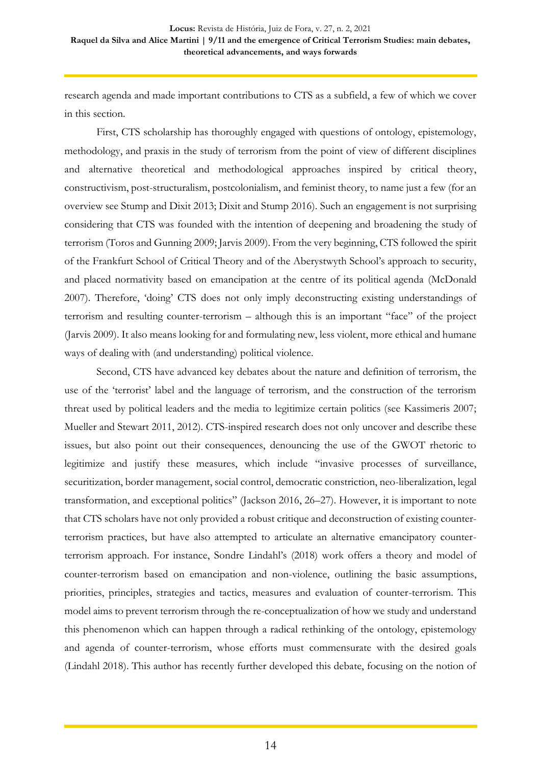research agenda and made important contributions to CTS as a subfield, a few of which we cover in this section.

First, CTS scholarship has thoroughly engaged with questions of ontology, epistemology, methodology, and praxis in the study of terrorism from the point of view of different disciplines and alternative theoretical and methodological approaches inspired by critical theory, constructivism, post-structuralism, postcolonialism, and feminist theory, to name just a few (for an overview see Stump and Dixit 2013; Dixit and Stump 2016). Such an engagement is not surprising considering that CTS was founded with the intention of deepening and broadening the study of terrorism (Toros and Gunning 2009; Jarvis 2009). From the very beginning, CTS followed the spirit of the Frankfurt School of Critical Theory and of the Aberystwyth School's approach to security, and placed normativity based on emancipation at the centre of its political agenda (McDonald 2007). Therefore, 'doing' CTS does not only imply deconstructing existing understandings of terrorism and resulting counter-terrorism – although this is an important "face" of the project (Jarvis 2009). It also means looking for and formulating new, less violent, more ethical and humane ways of dealing with (and understanding) political violence.

Second, CTS have advanced key debates about the nature and definition of terrorism, the use of the 'terrorist' label and the language of terrorism, and the construction of the terrorism threat used by political leaders and the media to legitimize certain politics (see Kassimeris 2007; Mueller and Stewart 2011, 2012). CTS-inspired research does not only uncover and describe these issues, but also point out their consequences, denouncing the use of the GWOT rhetoric to legitimize and justify these measures, which include "invasive processes of surveillance, securitization, border management, social control, democratic constriction, neo-liberalization, legal transformation, and exceptional politics" (Jackson 2016, 26–27). However, it is important to note that CTS scholars have not only provided a robust critique and deconstruction of existing counterterrorism practices, but have also attempted to articulate an alternative emancipatory counterterrorism approach. For instance, Sondre Lindahl's (2018) work offers a theory and model of counter-terrorism based on emancipation and non-violence, outlining the basic assumptions, priorities, principles, strategies and tactics, measures and evaluation of counter-terrorism. This model aims to prevent terrorism through the re-conceptualization of how we study and understand this phenomenon which can happen through a radical rethinking of the ontology, epistemology and agenda of counter-terrorism, whose efforts must commensurate with the desired goals (Lindahl 2018). This author has recently further developed this debate, focusing on the notion of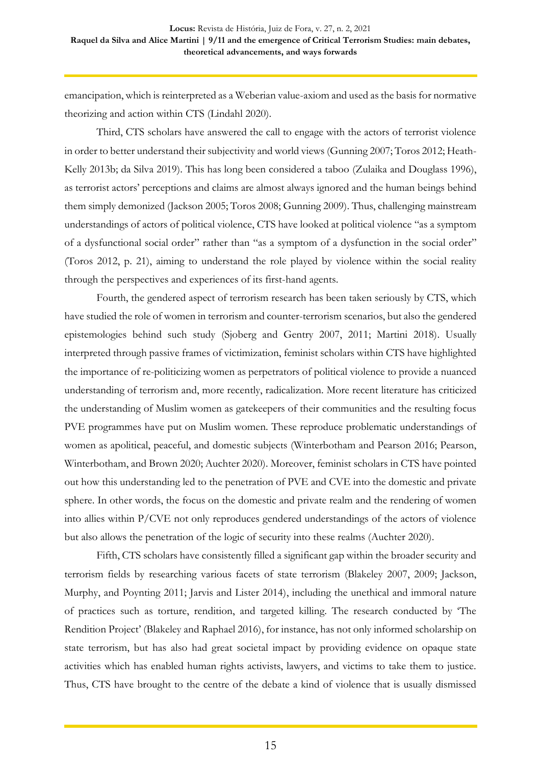emancipation, which is reinterpreted as a Weberian value-axiom and used as the basis for normative theorizing and action within CTS (Lindahl 2020).

Third, CTS scholars have answered the call to engage with the actors of terrorist violence in order to better understand their subjectivity and world views (Gunning 2007; Toros 2012; Heath-Kelly 2013b; da Silva 2019). This has long been considered a taboo (Zulaika and Douglass 1996), as terrorist actors' perceptions and claims are almost always ignored and the human beings behind them simply demonized (Jackson 2005; Toros 2008; Gunning 2009). Thus, challenging mainstream understandings of actors of political violence, CTS have looked at political violence "as a symptom of a dysfunctional social order" rather than "as a symptom of a dysfunction in the social order" (Toros 2012, p. 21), aiming to understand the role played by violence within the social reality through the perspectives and experiences of its first-hand agents.

Fourth, the gendered aspect of terrorism research has been taken seriously by CTS, which have studied the role of women in terrorism and counter-terrorism scenarios, but also the gendered epistemologies behind such study (Sjoberg and Gentry 2007, 2011; Martini 2018). Usually interpreted through passive frames of victimization, feminist scholars within CTS have highlighted the importance of re-politicizing women as perpetrators of political violence to provide a nuanced understanding of terrorism and, more recently, radicalization. More recent literature has criticized the understanding of Muslim women as gatekeepers of their communities and the resulting focus PVE programmes have put on Muslim women. These reproduce problematic understandings of women as apolitical, peaceful, and domestic subjects (Winterbotham and Pearson 2016; Pearson, Winterbotham, and Brown 2020; Auchter 2020). Moreover, feminist scholars in CTS have pointed out how this understanding led to the penetration of PVE and CVE into the domestic and private sphere. In other words, the focus on the domestic and private realm and the rendering of women into allies within P/CVE not only reproduces gendered understandings of the actors of violence but also allows the penetration of the logic of security into these realms (Auchter 2020).

Fifth, CTS scholars have consistently filled a significant gap within the broader security and terrorism fields by researching various facets of state terrorism (Blakeley 2007, 2009; Jackson, Murphy, and Poynting 2011; Jarvis and Lister 2014), including the unethical and immoral nature of practices such as torture, rendition, and targeted killing. The research conducted by 'The Rendition Project' (Blakeley and Raphael 2016), for instance, has not only informed scholarship on state terrorism, but has also had great societal impact by providing evidence on opaque state activities which has enabled human rights activists, lawyers, and victims to take them to justice. Thus, CTS have brought to the centre of the debate a kind of violence that is usually dismissed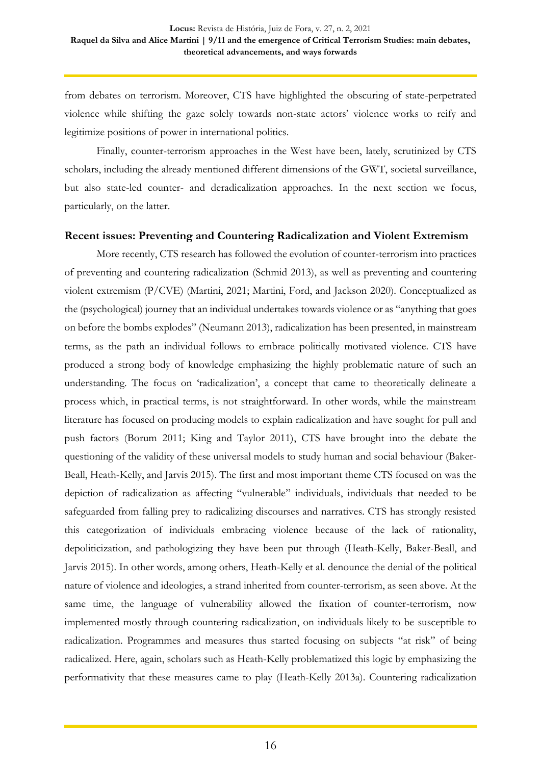from debates on terrorism. Moreover, CTS have highlighted the obscuring of state-perpetrated violence while shifting the gaze solely towards non-state actors' violence works to reify and legitimize positions of power in international politics.

Finally, counter-terrorism approaches in the West have been, lately, scrutinized by CTS scholars, including the already mentioned different dimensions of the GWT, societal surveillance, but also state-led counter- and deradicalization approaches. In the next section we focus, particularly, on the latter.

#### **Recent issues: Preventing and Countering Radicalization and Violent Extremism**

More recently, CTS research has followed the evolution of counter-terrorism into practices of preventing and countering radicalization (Schmid 2013), as well as preventing and countering violent extremism (P/CVE) (Martini, 2021; Martini, Ford, and Jackson 2020). Conceptualized as the (psychological) journey that an individual undertakes towards violence or as "anything that goes on before the bombs explodes" (Neumann 2013), radicalization has been presented, in mainstream terms, as the path an individual follows to embrace politically motivated violence. CTS have produced a strong body of knowledge emphasizing the highly problematic nature of such an understanding. The focus on 'radicalization', a concept that came to theoretically delineate a process which, in practical terms, is not straightforward. In other words, while the mainstream literature has focused on producing models to explain radicalization and have sought for pull and push factors (Borum 2011; King and Taylor 2011), CTS have brought into the debate the questioning of the validity of these universal models to study human and social behaviour (Baker-Beall, Heath-Kelly, and Jarvis 2015). The first and most important theme CTS focused on was the depiction of radicalization as affecting "vulnerable" individuals, individuals that needed to be safeguarded from falling prey to radicalizing discourses and narratives. CTS has strongly resisted this categorization of individuals embracing violence because of the lack of rationality, depoliticization, and pathologizing they have been put through (Heath-Kelly, Baker-Beall, and Jarvis 2015). In other words, among others, Heath-Kelly et al. denounce the denial of the political nature of violence and ideologies, a strand inherited from counter-terrorism, as seen above. At the same time, the language of vulnerability allowed the fixation of counter-terrorism, now implemented mostly through countering radicalization, on individuals likely to be susceptible to radicalization. Programmes and measures thus started focusing on subjects "at risk" of being radicalized. Here, again, scholars such as Heath-Kelly problematized this logic by emphasizing the performativity that these measures came to play (Heath-Kelly 2013a). Countering radicalization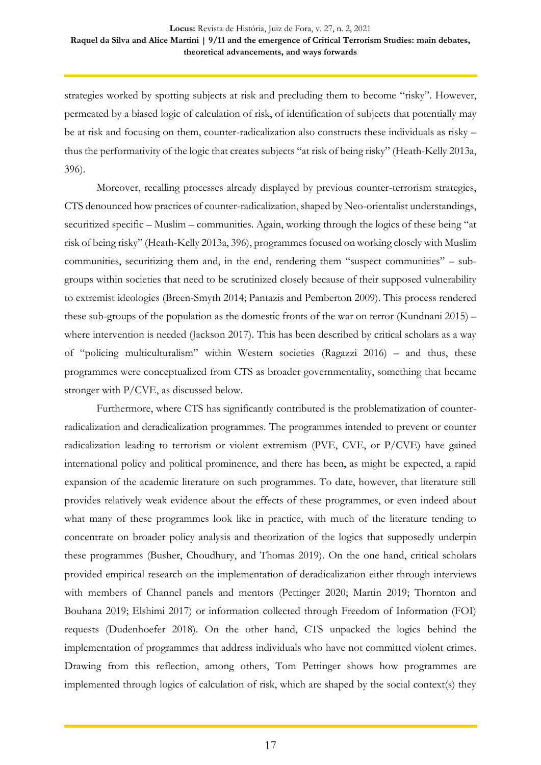strategies worked by spotting subjects at risk and precluding them to become "risky". However, permeated by a biased logic of calculation of risk, of identification of subjects that potentially may be at risk and focusing on them, counter-radicalization also constructs these individuals as risky – thus the performativity of the logic that creates subjects "at risk of being risky" (Heath-Kelly 2013a, 396).

Moreover, recalling processes already displayed by previous counter-terrorism strategies, CTS denounced how practices of counter-radicalization, shaped by Neo-orientalist understandings, securitized specific – Muslim – communities. Again, working through the logics of these being "at risk of being risky" (Heath-Kelly 2013a, 396), programmes focused on working closely with Muslim communities, securitizing them and, in the end, rendering them "suspect communities" – subgroups within societies that need to be scrutinized closely because of their supposed vulnerability to extremist ideologies (Breen-Smyth 2014; Pantazis and Pemberton 2009). This process rendered these sub-groups of the population as the domestic fronts of the war on terror (Kundnani 2015) – where intervention is needed (Jackson 2017). This has been described by critical scholars as a way of "policing multiculturalism" within Western societies (Ragazzi 2016) – and thus, these programmes were conceptualized from CTS as broader governmentality, something that became stronger with P/CVE, as discussed below.

Furthermore, where CTS has significantly contributed is the problematization of counterradicalization and deradicalization programmes. The programmes intended to prevent or counter radicalization leading to terrorism or violent extremism (PVE, CVE, or P/CVE) have gained international policy and political prominence, and there has been, as might be expected, a rapid expansion of the academic literature on such programmes. To date, however, that literature still provides relatively weak evidence about the effects of these programmes, or even indeed about what many of these programmes look like in practice, with much of the literature tending to concentrate on broader policy analysis and theorization of the logics that supposedly underpin these programmes (Busher, Choudhury, and Thomas 2019). On the one hand, critical scholars provided empirical research on the implementation of deradicalization either through interviews with members of Channel panels and mentors (Pettinger 2020; Martin 2019; Thornton and Bouhana 2019; Elshimi 2017) or information collected through Freedom of Information (FOI) requests (Dudenhoefer 2018). On the other hand, CTS unpacked the logics behind the implementation of programmes that address individuals who have not committed violent crimes. Drawing from this reflection, among others, Tom Pettinger shows how programmes are implemented through logics of calculation of risk, which are shaped by the social context(s) they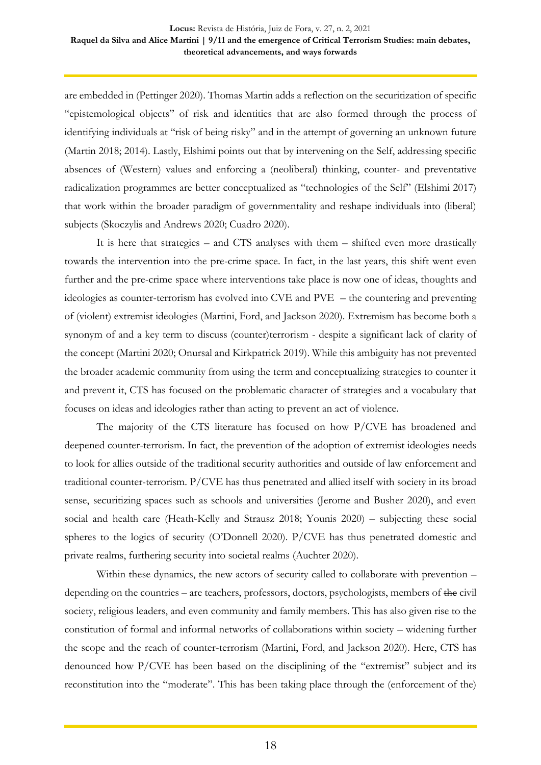are embedded in (Pettinger 2020). Thomas Martin adds a reflection on the securitization of specific "epistemological objects" of risk and identities that are also formed through the process of identifying individuals at "risk of being risky" and in the attempt of governing an unknown future (Martin 2018; 2014). Lastly, Elshimi points out that by intervening on the Self, addressing specific absences of (Western) values and enforcing a (neoliberal) thinking, counter- and preventative radicalization programmes are better conceptualized as "technologies of the Self" (Elshimi 2017) that work within the broader paradigm of governmentality and reshape individuals into (liberal) subjects (Skoczylis and Andrews 2020; Cuadro 2020).

It is here that strategies – and CTS analyses with them – shifted even more drastically towards the intervention into the pre-crime space. In fact, in the last years, this shift went even further and the pre-crime space where interventions take place is now one of ideas, thoughts and ideologies as counter-terrorism has evolved into CVE and PVE – the countering and preventing of (violent) extremist ideologies (Martini, Ford, and Jackson 2020). Extremism has become both a synonym of and a key term to discuss (counter)terrorism - despite a significant lack of clarity of the concept (Martini 2020; Onursal and Kirkpatrick 2019). While this ambiguity has not prevented the broader academic community from using the term and conceptualizing strategies to counter it and prevent it, CTS has focused on the problematic character of strategies and a vocabulary that focuses on ideas and ideologies rather than acting to prevent an act of violence.

The majority of the CTS literature has focused on how P/CVE has broadened and deepened counter-terrorism. In fact, the prevention of the adoption of extremist ideologies needs to look for allies outside of the traditional security authorities and outside of law enforcement and traditional counter-terrorism. P/CVE has thus penetrated and allied itself with society in its broad sense, securitizing spaces such as schools and universities (Jerome and Busher 2020), and even social and health care (Heath-Kelly and Strausz 2018; Younis 2020) – subjecting these social spheres to the logics of security (O'Donnell 2020). P/CVE has thus penetrated domestic and private realms, furthering security into societal realms (Auchter 2020).

Within these dynamics, the new actors of security called to collaborate with prevention – depending on the countries – are teachers, professors, doctors, psychologists, members of the civil society, religious leaders, and even community and family members. This has also given rise to the constitution of formal and informal networks of collaborations within society – widening further the scope and the reach of counter-terrorism (Martini, Ford, and Jackson 2020). Here, CTS has denounced how P/CVE has been based on the disciplining of the "extremist" subject and its reconstitution into the "moderate". This has been taking place through the (enforcement of the)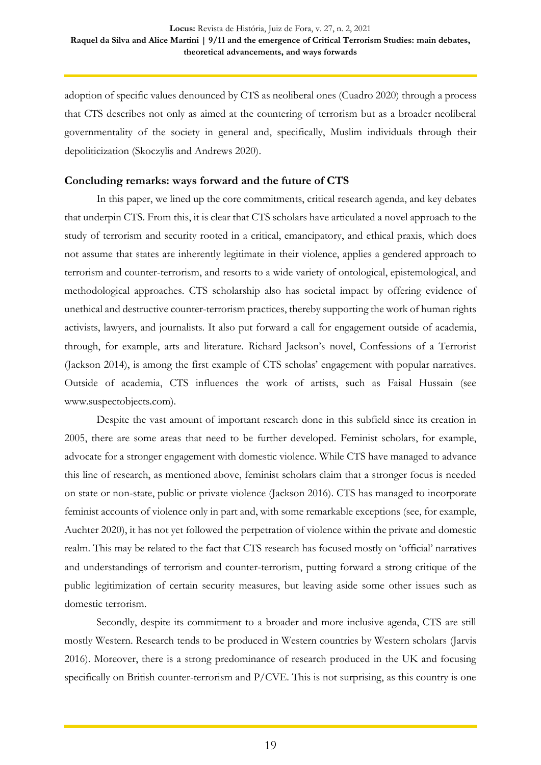adoption of specific values denounced by CTS as neoliberal ones (Cuadro 2020) through a process that CTS describes not only as aimed at the countering of terrorism but as a broader neoliberal governmentality of the society in general and, specifically, Muslim individuals through their depoliticization (Skoczylis and Andrews 2020).

### **Concluding remarks: ways forward and the future of CTS**

In this paper, we lined up the core commitments, critical research agenda, and key debates that underpin CTS. From this, it is clear that CTS scholars have articulated a novel approach to the study of terrorism and security rooted in a critical, emancipatory, and ethical praxis, which does not assume that states are inherently legitimate in their violence, applies a gendered approach to terrorism and counter-terrorism, and resorts to a wide variety of ontological, epistemological, and methodological approaches. CTS scholarship also has societal impact by offering evidence of unethical and destructive counter-terrorism practices, thereby supporting the work of human rights activists, lawyers, and journalists. It also put forward a call for engagement outside of academia, through, for example, arts and literature. Richard Jackson's novel, Confessions of a Terrorist (Jackson 2014), is among the first example of CTS scholas' engagement with popular narratives. Outside of academia, CTS influences the work of artists, such as Faisal Hussain (see [www.suspectobjects.com\)](http://www.suspectobjects.com/).

Despite the vast amount of important research done in this subfield since its creation in 2005, there are some areas that need to be further developed. Feminist scholars, for example, advocate for a stronger engagement with domestic violence. While CTS have managed to advance this line of research, as mentioned above, feminist scholars claim that a stronger focus is needed on state or non-state, public or private violence (Jackson 2016). CTS has managed to incorporate feminist accounts of violence only in part and, with some remarkable exceptions (see, for example, Auchter 2020), it has not yet followed the perpetration of violence within the private and domestic realm. This may be related to the fact that CTS research has focused mostly on 'official' narratives and understandings of terrorism and counter-terrorism, putting forward a strong critique of the public legitimization of certain security measures, but leaving aside some other issues such as domestic terrorism.

Secondly, despite its commitment to a broader and more inclusive agenda, CTS are still mostly Western. Research tends to be produced in Western countries by Western scholars (Jarvis 2016). Moreover, there is a strong predominance of research produced in the UK and focusing specifically on British counter-terrorism and P/CVE. This is not surprising, as this country is one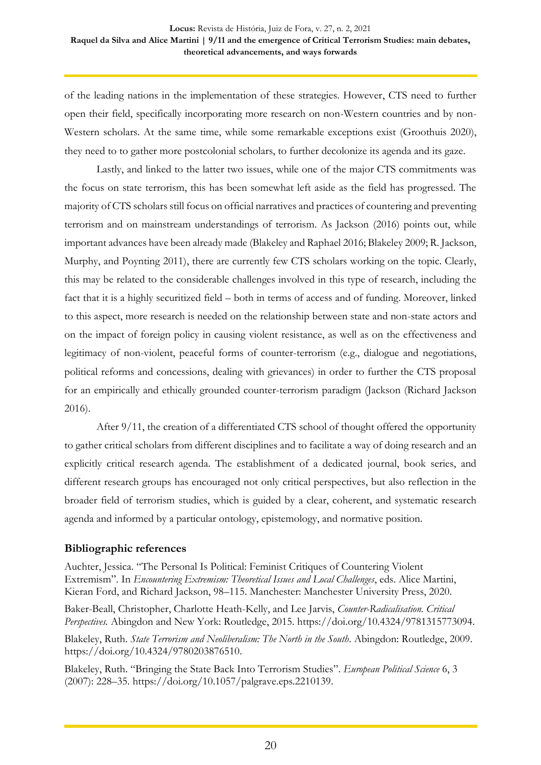of the leading nations in the implementation of these strategies. However, CTS need to further open their field, specifically incorporating more research on non-Western countries and by non-Western scholars. At the same time, while some remarkable exceptions exist (Groothuis 2020), they need to to gather more postcolonial scholars, to further decolonize its agenda and its gaze.

Lastly, and linked to the latter two issues, while one of the major CTS commitments was the focus on state terrorism, this has been somewhat left aside as the field has progressed. The majority of CTS scholars still focus on official narratives and practices of countering and preventing terrorism and on mainstream understandings of terrorism. As Jackson (2016) points out, while important advances have been already made (Blakeley and Raphael 2016; Blakeley 2009; R. Jackson, Murphy, and Poynting 2011), there are currently few CTS scholars working on the topic. Clearly, this may be related to the considerable challenges involved in this type of research, including the fact that it is a highly securitized field – both in terms of access and of funding. Moreover, linked to this aspect, more research is needed on the relationship between state and non-state actors and on the impact of foreign policy in causing violent resistance, as well as on the effectiveness and legitimacy of non-violent, peaceful forms of counter-terrorism (e.g., dialogue and negotiations, political reforms and concessions, dealing with grievances) in order to further the CTS proposal for an empirically and ethically grounded counter-terrorism paradigm (Jackson (Richard Jackson 2016).

After 9/11, the creation of a differentiated CTS school of thought offered the opportunity to gather critical scholars from different disciplines and to facilitate a way of doing research and an explicitly critical research agenda. The establishment of a dedicated journal, book series, and different research groups has encouraged not only critical perspectives, but also reflection in the broader field of terrorism studies, which is guided by a clear, coherent, and systematic research agenda and informed by a particular ontology, epistemology, and normative position.

## **Bibliographic references**

Auchter, Jessica. "The Personal Is Political: Feminist Critiques of Countering Violent Extremism". In *Encountering Extremism: Theoretical Issues and Local Challenges*, eds. Alice Martini, Kieran Ford, and Richard Jackson, 98–115. Manchester: Manchester University Press, 2020.

Baker-Beall, Christopher, Charlotte Heath-Kelly, and Lee Jarvis, *Counter-Radicalisation. Critical Perspectives.* Abingdon and New York: Routledge, 2015. [https://doi.org/10.4324/9781315773094.](https://doi.org/10.4324/9781315773094)

Blakeley, Ruth. *State Terrorism and Neoliberalism: The North in the South*. Abingdon: Routledge, 2009. [https://doi.org/10.4324/9780203876510.](https://doi.org/10.4324/9780203876510)

Blakeley, Ruth. "Bringing the State Back Into Terrorism Studies". *European Political Science* 6, 3 (2007): 228–35. [https://doi.org/10.1057/palgrave.eps.2210139.](https://doi.org/10.1057/palgrave.eps.2210139)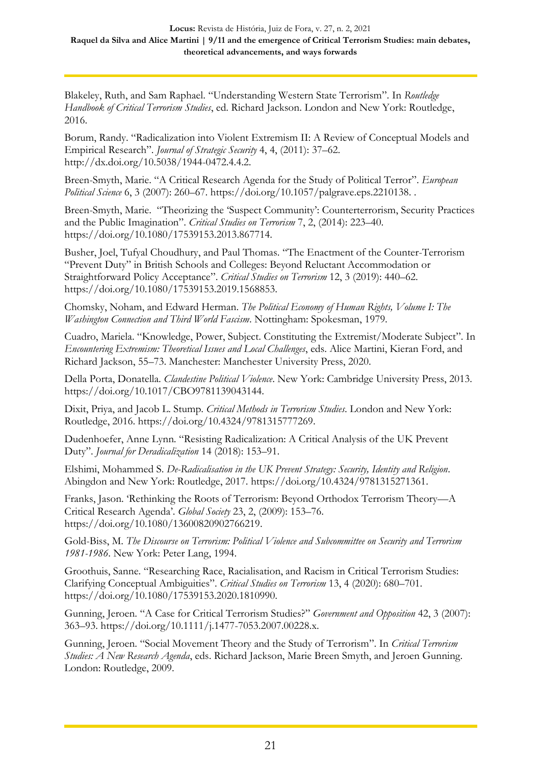Blakeley, Ruth, and Sam Raphael. "Understanding Western State Terrorism". In *Routledge Handbook of Critical Terrorism Studies*, ed. Richard Jackson. London and New York: Routledge, 2016.

Borum, Randy. "Radicalization into Violent Extremism II: A Review of Conceptual Models and Empirical Research". *Journal of Strategic Security* 4, 4, (2011): 37–62. [http://dx.doi.org/10.5038/1944-0472.4.4.2.](http://dx.doi.org/10.5038/1944-0472.4.4.2)

Breen-Smyth, Marie. "A Critical Research Agenda for the Study of Political Terror". *European Political Science* 6, 3 (2007): 260–67. [https://doi.org/10.1057/palgrave.eps.2210138.](https://doi.org/10.1057/palgrave.eps.2210138) .

Breen-Smyth, Marie. "Theorizing the 'Suspect Community': Counterterrorism, Security Practices and the Public Imagination". *Critical Studies on Terrorism* 7, 2, (2014): 223–40. [https://doi.org/10.1080/17539153.2013.867714.](https://doi.org/10.1080/17539153.2013.867714)

Busher, Joel, Tufyal Choudhury, and Paul Thomas. "The Enactment of the Counter-Terrorism "Prevent Duty" in British Schools and Colleges: Beyond Reluctant Accommodation or Straightforward Policy Acceptance". *Critical Studies on Terrorism* 12, 3 (2019): 440–62. [https://doi.org/10.1080/17539153.2019.1568853.](https://doi.org/10.1080/17539153.2019.1568853)

Chomsky, Noham, and Edward Herman. *The Political Economy of Human Rights, Volume I: The Washington Connection and Third World Fascism*. Nottingham: Spokesman, 1979.

Cuadro, Mariela. "Knowledge, Power, Subject. Constituting the Extremist/Moderate Subject". In *Encountering Extremism: Theoretical Issues and Local Challenges*, eds. Alice Martini, Kieran Ford, and Richard Jackson, 55–73. Manchester: Manchester University Press, 2020.

Della Porta, Donatella. *Clandestine Political Violence*. New York: Cambridge University Press, 2013. [https://doi.org/10.1017/CBO9781139043144.](https://doi.org/10.1017/CBO9781139043144)

Dixit, Priya, and Jacob L. Stump. *Critical Methods in Terrorism Studies*. London and New York: Routledge, 2016. [https://doi.org/10.4324/9781315777269.](https://doi.org/10.4324/9781315777269)

Dudenhoefer, Anne Lynn. "Resisting Radicalization: A Critical Analysis of the UK Prevent Duty". *Journal for Deradicalization* 14 (2018): 153–91.

Elshimi, Mohammed S. *De-Radicalisation in the UK Prevent Strategy: Security, Identity and Religion*. Abingdon and New York: Routledge, 2017. [https://doi.org/10.4324/9781315271361.](https://doi.org/10.4324/9781315271361)

Franks, Jason. 'Rethinking the Roots of Terrorism: Beyond Orthodox Terrorism Theory—A Critical Research Agenda'. *Global Society* 23, 2, (2009): 153–76. [https://doi.org/10.1080/13600820902766219.](https://doi.org/10.1080/13600820902766219)

Gold-Biss, M. *The Discourse on Terrorism: Political Violence and Subcommittee on Security and Terrorism 1981-1986*. New York: Peter Lang, 1994.

Groothuis, Sanne. "Researching Race, Racialisation, and Racism in Critical Terrorism Studies: Clarifying Conceptual Ambiguities". *Critical Studies on Terrorism* 13, 4 (2020): 680–701. [https://doi.org/10.1080/17539153.2020.1810990.](https://doi.org/10.1080/17539153.2020.1810990)

Gunning, Jeroen. "A Case for Critical Terrorism Studies?" *Government and Opposition* 42, 3 (2007): 363–93. [https://doi.org/10.1111/j.1477-7053.2007.00228.x.](https://doi.org/10.1111/j.1477-7053.2007.00228.x)

Gunning, Jeroen. "Social Movement Theory and the Study of Terrorism". In *Critical Terrorism Studies: A New Research Agenda*, eds. Richard Jackson, Marie Breen Smyth, and Jeroen Gunning. London: Routledge, 2009.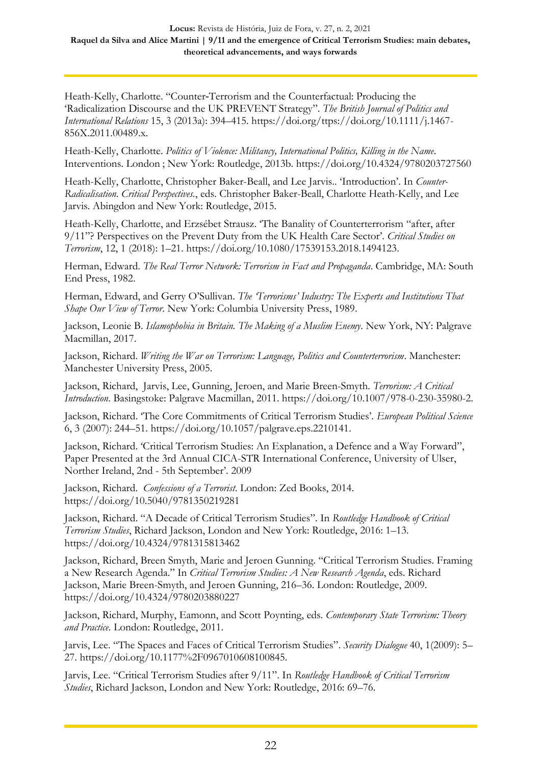Heath-Kelly, Charlotte. "Counter‐Terrorism and the Counterfactual: Producing the 'Radicalization Discourse and the UK PREVENT Strategy". *The British Journal of Politics and International Relations* 15, 3 (2013a): 394–415. [https://doi.org/ttps://doi.org/10.1111/j.1467-](https://doi.org/ttps:/doi.org/10.1111/j.1467-856X.2011.00489.x) [856X.2011.00489.x.](https://doi.org/ttps:/doi.org/10.1111/j.1467-856X.2011.00489.x)

Heath-Kelly, Charlotte. *Politics of Violence: Militancy, International Politics, Killing in the Name*. Interventions. London ; New York: Routledge, 2013b. <https://doi.org/10.4324/9780203727560>

Heath-Kelly, Charlotte, Christopher Baker-Beall, and Lee Jarvis.. 'Introduction'. In *Counter-Radicalisation. Critical Perspectives.*, eds. Christopher Baker-Beall, Charlotte Heath-Kelly, and Lee Jarvis. Abingdon and New York: Routledge, 2015.

Heath-Kelly, Charlotte, and Erzsébet Strausz. 'The Banality of Counterterrorism "after, after 9/11"? Perspectives on the Prevent Duty from the UK Health Care Sector'. *Critical Studies on Terrorism*, 12, 1 (2018): 1–21. [https://doi.org/10.1080/17539153.2018.1494123.](https://doi.org/10.1080/17539153.2018.1494123)

Herman, Edward. *The Real Terror Network: Terrorism in Fact and Propaganda*. Cambridge, MA: South End Press, 1982.

Herman, Edward, and Gerry O'Sullivan. *The 'Terrorisms' Industry: The Experts and Institutions That Shape Our View of Terror*. New York: Columbia University Press, 1989.

Jackson, Leonie B. *Islamophobia in Britain. The Making of a Muslim Enemy*. New York, NY: Palgrave Macmillan, 2017.

Jackson, Richard. *Writing the War on Terrorism: Language, Politics and Counterterrorism*. Manchester: Manchester University Press, 2005.

Jackson, Richard, Jarvis, Lee, Gunning, Jeroen, and Marie Breen-Smyth. *Terrorism: A Critical Introduction*. Basingstoke: Palgrave Macmillan, 2011. [https://doi.org/10.1007/978-0-230-35980-2.](https://doi.org/10.1007/978-0-230-35980-2)

Jackson, Richard. 'The Core Commitments of Critical Terrorism Studies'. *European Political Science* 6, 3 (2007): 244–51. [https://doi.org/10.1057/palgrave.eps.2210141.](https://doi.org/10.1057/palgrave.eps.2210141)

Jackson, Richard. 'Critical Terrorism Studies: An Explanation, a Defence and a Way Forward", Paper Presented at the 3rd Annual CICA-STR International Conference, University of Ulser, Norther Ireland, 2nd - 5th September'. 2009

Jackson, Richard. *Confessions of a Terrorist*. London: Zed Books, 2014. <https://doi.org/10.5040/9781350219281>

Jackson, Richard. "A Decade of Critical Terrorism Studies". In *Routledge Handbook of Critical Terrorism Studies*, Richard Jackson, London and New York: Routledge, 2016: 1–13. <https://doi.org/10.4324/9781315813462>

Jackson, Richard, Breen Smyth, Marie and Jeroen Gunning. "Critical Terrorism Studies. Framing a New Research Agenda." In *Critical Terrorism Studies: A New Research Agenda*, eds. Richard Jackson, Marie Breen-Smyth, and Jeroen Gunning, 216–36. London: Routledge, 2009. <https://doi.org/10.4324/9780203880227>

Jackson, Richard, Murphy, Eamonn, and Scott Poynting, eds. *Contemporary State Terrorism: Theory and Practice*. London: Routledge, 2011.

Jarvis, Lee. "The Spaces and Faces of Critical Terrorism Studies". *Security Dialogue* 40, 1(2009): 5– 27. [https://doi.org/10.1177%2F0967010608100845.](https://doi.org/10.1177%2F0967010608100845)

Jarvis, Lee. "Critical Terrorism Studies after 9/11". In *Routledge Handbook of Critical Terrorism Studies*, Richard Jackson, London and New York: Routledge, 2016: 69–76.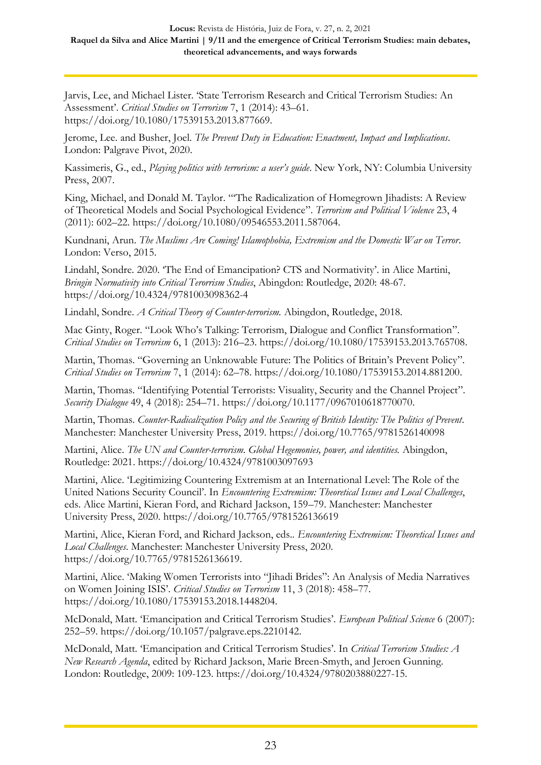Jarvis, Lee, and Michael Lister. 'State Terrorism Research and Critical Terrorism Studies: An Assessment'. *Critical Studies on Terrorism* 7, 1 (2014): 43–61. [https://doi.org/10.1080/17539153.2013.877669.](https://doi.org/10.1080/17539153.2013.877669)

Jerome, Lee. and Busher, Joel. *The Prevent Duty in Education: Enactment, Impact and Implications*. London: Palgrave Pivot, 2020.

Kassimeris, G., ed., *Playing politics with terrorism: a user's guide*. New York, NY: Columbia University Press, 2007.

King, Michael, and Donald M. Taylor. "'The Radicalization of Homegrown Jihadists: A Review of Theoretical Models and Social Psychological Evidence". *Terrorism and Political Violence* 23, 4 (2011): 602–22. [https://doi.org/10.1080/09546553.2011.587064.](https://doi.org/10.1080/09546553.2011.587064)

Kundnani, Arun. *The Muslims Are Coming! Islamophobia, Extremism and the Domestic War on Terror*. London: Verso, 2015.

Lindahl, Sondre. 2020. 'The End of Emancipation? CTS and Normativity'. in Alice Martini, *Bringin Normativity into Critical Terorrism Studies*, Abingdon: Routledge, 2020: 48-67. <https://doi.org/10.4324/9781003098362-4>

Lindahl, Sondre. *A Critical Theory of Counter-terrorism.* Abingdon, Routledge, 2018.

Mac Ginty, Roger. "Look Who's Talking: Terrorism, Dialogue and Conflict Transformation". *Critical Studies on Terrorism* 6, 1 (2013): 216–23. [https://doi.org/10.1080/17539153.2013.765708.](https://doi.org/10.1080/17539153.2013.765708)

Martin, Thomas. "Governing an Unknowable Future: The Politics of Britain's Prevent Policy". *Critical Studies on Terrorism* 7, 1 (2014): 62–78. [https://doi.org/10.1080/17539153.2014.881200.](https://doi.org/10.1080/17539153.2014.881200)

Martin, Thomas. "Identifying Potential Terrorists: Visuality, Security and the Channel Project". *Security Dialogue* 49, 4 (2018): 254–71. [https://doi.org/10.1177/0967010618770070.](https://doi.org/10.1177/0967010618770070)

Martin, Thomas. *Counter-Radicalization Policy and the Securing of British Identity: The Politics of Prevent*. Manchester: Manchester University Press, 2019. <https://doi.org/10.7765/9781526140098>

Martini, Alice. *The UN and Counter-terrorism. Global Hegemonies, power, and identities.* Abingdon, Routledge: 2021.<https://doi.org/10.4324/9781003097693>

Martini, Alice. 'Legitimizing Countering Extremism at an International Level: The Role of the United Nations Security Council'. In *Encountering Extremism: Theoretical Issues and Local Challenges*, eds. Alice Martini, Kieran Ford, and Richard Jackson, 159–79. Manchester: Manchester University Press, 2020. <https://doi.org/10.7765/9781526136619>

Martini, Alice, Kieran Ford, and Richard Jackson, eds.. *Encountering Extremism: Theoretical Issues and Local Challenges*. Manchester: Manchester University Press, 2020. [https://doi.org/10.7765/9781526136619.](https://doi.org/10.7765/9781526136619)

Martini, Alice. 'Making Women Terrorists into "Jihadi Brides": An Analysis of Media Narratives on Women Joining ISIS'. *Critical Studies on Terrorism* 11, 3 (2018): 458–77. [https://doi.org/10.1080/17539153.2018.1448204.](https://doi.org/10.1080/17539153.2018.1448204)

McDonald, Matt. 'Emancipation and Critical Terrorism Studies'. *European Political Science* 6 (2007): 252–59. [https://doi.org/10.1057/palgrave.eps.2210142.](https://doi.org/10.1057/palgrave.eps.2210142)

McDonald, Matt. 'Emancipation and Critical Terrorism Studies'. In *Critical Terrorism Studies: A New Research Agenda*, edited by Richard Jackson, Marie Breen-Smyth, and Jeroen Gunning. London: Routledge, 2009: 109-123. [https://doi.org/10.4324/9780203880227-15.](https://doi.org/10.4324/9780203880227-15)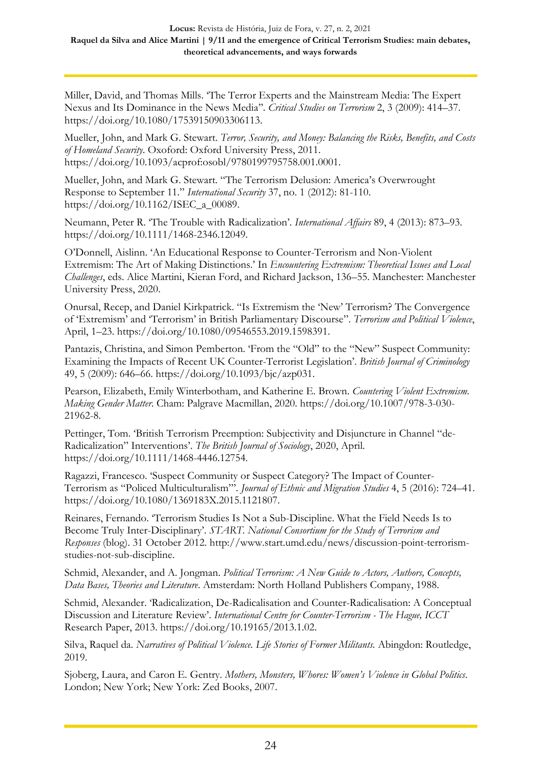Miller, David, and Thomas Mills. 'The Terror Experts and the Mainstream Media: The Expert Nexus and Its Dominance in the News Media''. *Critical Studies on Terrorism* 2, 3 (2009): 414–37. [https://doi.org/10.1080/17539150903306113.](https://doi.org/10.1080/17539150903306113)

Mueller, John, and Mark G. Stewart. *Terror, Security, and Money: Balancing the Risks, Benefits, and Costs of Homeland Security*. Oxoford: Oxford University Press, 2011. [https://doi.org/10.1093/acprof:osobl/9780199795758.001.0001.](https://doi.org/10.1093/acprof:osobl/9780199795758.001.0001)

Mueller, John, and Mark G. Stewart. "The Terrorism Delusion: America's Overwrought Response to September 11." *International Security* 37, no. 1 (2012): 81-110. [https://doi.org/10.1162/ISEC\\_a\\_00089.](https://doi.org/10.1162/ISEC_a_00089)

Neumann, Peter R. 'The Trouble with Radicalization'. *International Affairs* 89, 4 (2013): 873–93. [https://doi.org/10.1111/1468-2346.12049.](https://doi.org/10.1111/1468-2346.12049)

O'Donnell, Aislinn. 'An Educational Response to Counter-Terrorism and Non-Violent Extremism: The Art of Making Distinctions.' In *Encountering Extremism: Theoretical Issues and Local Challenges*, eds. Alice Martini, Kieran Ford, and Richard Jackson, 136–55. Manchester: Manchester University Press, 2020.

Onursal, Recep, and Daniel Kirkpatrick. "Is Extremism the 'New' Terrorism? The Convergence of 'Extremism' and 'Terrorism' in British Parliamentary Discourse". *Terrorism and Political Violence*, April, 1–23. [https://doi.org/10.1080/09546553.2019.1598391.](https://doi.org/10.1080/09546553.2019.1598391)

Pantazis, Christina, and Simon Pemberton. 'From the "Old" to the "New" Suspect Community: Examining the Impacts of Recent UK Counter-Terrorist Legislation'. *British Journal of Criminology* 49, 5 (2009): 646–66. [https://doi.org/10.1093/bjc/azp031.](https://doi.org/10.1093/bjc/azp031)

Pearson, Elizabeth, Emily Winterbotham, and Katherine E. Brown. *Countering Violent Extremism. Making Gender Matter*. Cham: Palgrave Macmillan, 2020. [https://doi.org/10.1007/978-3-030-](https://doi.org/10.1007/978-3-030-21962-8) [21962-8.](https://doi.org/10.1007/978-3-030-21962-8)

Pettinger, Tom. 'British Terrorism Preemption: Subjectivity and Disjuncture in Channel "de-Radicalization" Interventions'. *The British Journal of Sociology*, 2020, April. [https://doi.org/10.1111/1468-4446.12754.](https://doi.org/10.1111/1468-4446.12754)

Ragazzi, Francesco. 'Suspect Community or Suspect Category? The Impact of Counter-Terrorism as "Policed Multiculturalism"'. *Journal of Ethnic and Migration Studies* 4, 5 (2016): 724–41. [https://doi.org/10.1080/1369183X.2015.1121807.](https://doi.org/10.1080/1369183X.2015.1121807)

Reinares, Fernando. 'Terrorism Studies Is Not a Sub-Discipline. What the Field Needs Is to Become Truly Inter-Disciplinary'. *START. National Consortium for the Study of Terrorism and Responses* (blog). 31 October 2012. [http://www.start.umd.edu/news/discussion-point-terrorism](http://www.start.umd.edu/news/discussion-point-terrorism-studies-not-sub-discipline)[studies-not-sub-discipline.](http://www.start.umd.edu/news/discussion-point-terrorism-studies-not-sub-discipline)

Schmid, Alexander, and A. Jongman. *Political Terrorism: A New Guide to Actors, Authors, Concepts, Data Bases, Theories and Literature*. Amsterdam: North Holland Publishers Company, 1988.

Schmid, Alexander. 'Radicalization, De-Radicalisation and Counter-Radicalisation: A Conceptual Discussion and Literature Review'. *International Centre for Counter-Terrorism - The Hague, ICCT* Research Paper, 2013. [https://doi.org/10.19165/2013.1.02.](https://doi.org/10.19165/2013.1.02)

Silva, Raquel da. *Narratives of Political Violence. Life Stories of Former Militants.* Abingdon: Routledge, 2019.

Sjoberg, Laura, and Caron E. Gentry. *Mothers, Monsters, Whores: Women's Violence in Global Politics*. London; New York; New York: Zed Books, 2007.